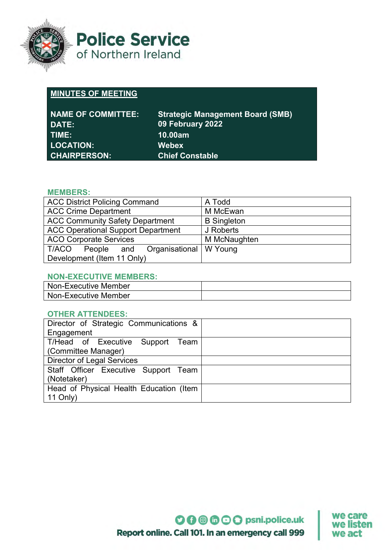

**Police Service** of Northern Ireland

## **MINUTES OF MEETING**

| <b>NAME OF COMMITTEE:</b><br><b>DATE:</b> | <b>Strategic Management Board (SMB)</b><br>09 February 2022 |
|-------------------------------------------|-------------------------------------------------------------|
| TIME:                                     | 10.00am                                                     |
| <b>LOCATION:</b>                          | <b>Webex</b>                                                |
| <b>CHAIRPERSON:</b>                       | <b>Chief Constable</b>                                      |

### **MEMBERS:**

| <b>ACC District Policing Command</b>         | A Todd             |
|----------------------------------------------|--------------------|
| <b>ACC Crime Department</b>                  | M McEwan           |
| <b>ACC Community Safety Department</b>       | <b>B</b> Singleton |
| <b>ACC Operational Support Department</b>    | J Roberts          |
| <b>ACO Corporate Services</b>                | M McNaughten       |
| Organisational   W Young<br>T/ACO People and |                    |
| Development (Item 11 Only)                   |                    |

#### **NON-EXECUTIVE MEMBERS:**

| Non-Executive Member |  |
|----------------------|--|
| Non-Executive Member |  |

#### **OTHER ATTENDEES:**

| Director of Strategic Communications &  |  |  |
|-----------------------------------------|--|--|
| Engagement                              |  |  |
| T/Head of Executive Support Team        |  |  |
| (Committee Manager)                     |  |  |
| <b>Director of Legal Services</b>       |  |  |
| Staff Officer Executive Support Team    |  |  |
| (Notetaker)                             |  |  |
| Head of Physical Health Education (Item |  |  |
| $11$ Only)                              |  |  |

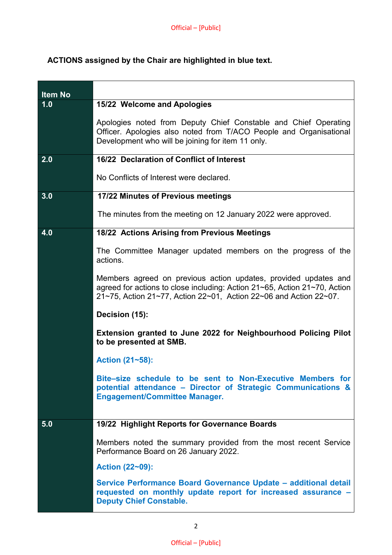# **ACTIONS assigned by the Chair are highlighted in blue text.**

| <b>Item No</b> |                                                                                                                                                                                                                      |
|----------------|----------------------------------------------------------------------------------------------------------------------------------------------------------------------------------------------------------------------|
| 1.0            | 15/22 Welcome and Apologies                                                                                                                                                                                          |
|                | Apologies noted from Deputy Chief Constable and Chief Operating<br>Officer. Apologies also noted from T/ACO People and Organisational<br>Development who will be joining for item 11 only.                           |
| 2.0            | 16/22 Declaration of Conflict of Interest                                                                                                                                                                            |
|                | No Conflicts of Interest were declared.                                                                                                                                                                              |
| 3.0            | 17/22 Minutes of Previous meetings                                                                                                                                                                                   |
|                | The minutes from the meeting on 12 January 2022 were approved.                                                                                                                                                       |
| 4.0            | 18/22 Actions Arising from Previous Meetings                                                                                                                                                                         |
|                | The Committee Manager updated members on the progress of the<br>actions.                                                                                                                                             |
|                | Members agreed on previous action updates, provided updates and<br>agreed for actions to close including: Action 21~65, Action 21~70, Action<br>$21~75$ , Action 21~77, Action 22~01, Action 22~06 and Action 22~07. |
|                | Decision (15):                                                                                                                                                                                                       |
|                | Extension granted to June 2022 for Neighbourhood Policing Pilot<br>to be presented at SMB.                                                                                                                           |
|                | Action (21~58):                                                                                                                                                                                                      |
|                | Bite-size schedule to be sent to Non-Executive Members for<br>potential attendance - Director of Strategic Communications &<br><b>Engagement/Committee Manager.</b>                                                  |
| 5.0            | 19/22 Highlight Reports for Governance Boards                                                                                                                                                                        |
|                | Members noted the summary provided from the most recent Service<br>Performance Board on 26 January 2022.                                                                                                             |
|                | Action (22~09):                                                                                                                                                                                                      |
|                | Service Performance Board Governance Update - additional detail<br>requested on monthly update report for increased assurance -<br><b>Deputy Chief Constable.</b>                                                    |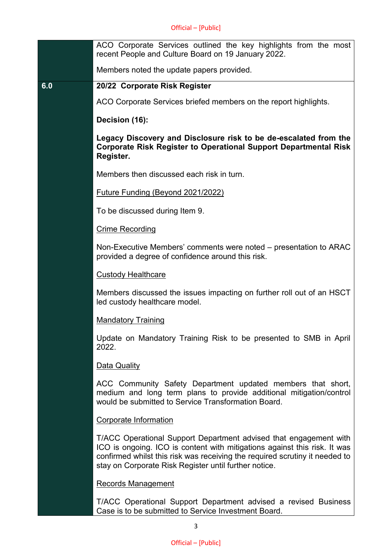| ACO Corporate Services outlined the key highlights from the most<br>recent People and Culture Board on 19 January 2022.                                                                                                                                                                |
|----------------------------------------------------------------------------------------------------------------------------------------------------------------------------------------------------------------------------------------------------------------------------------------|
| Members noted the update papers provided.                                                                                                                                                                                                                                              |
| 20/22 Corporate Risk Register                                                                                                                                                                                                                                                          |
| ACO Corporate Services briefed members on the report highlights.                                                                                                                                                                                                                       |
| Decision (16):                                                                                                                                                                                                                                                                         |
| Legacy Discovery and Disclosure risk to be de-escalated from the<br><b>Corporate Risk Register to Operational Support Departmental Risk</b><br>Register.                                                                                                                               |
| Members then discussed each risk in turn.                                                                                                                                                                                                                                              |
| Future Funding (Beyond 2021/2022)                                                                                                                                                                                                                                                      |
| To be discussed during Item 9.                                                                                                                                                                                                                                                         |
| <b>Crime Recording</b>                                                                                                                                                                                                                                                                 |
| Non-Executive Members' comments were noted – presentation to ARAC<br>provided a degree of confidence around this risk.                                                                                                                                                                 |
| <b>Custody Healthcare</b>                                                                                                                                                                                                                                                              |
| Members discussed the issues impacting on further roll out of an HSCT<br>led custody healthcare model.                                                                                                                                                                                 |
| <b>Mandatory Training</b>                                                                                                                                                                                                                                                              |
| Update on Mandatory Training Risk to be presented to SMB in April<br>2022.                                                                                                                                                                                                             |
| Data Quality                                                                                                                                                                                                                                                                           |
| ACC Community Safety Department updated members that short,<br>medium and long term plans to provide additional mitigation/control<br>would be submitted to Service Transformation Board.                                                                                              |
| Corporate Information                                                                                                                                                                                                                                                                  |
| T/ACC Operational Support Department advised that engagement with<br>ICO is ongoing. ICO is content with mitigations against this risk. It was<br>confirmed whilst this risk was receiving the required scrutiny it needed to<br>stay on Corporate Risk Register until further notice. |
| <b>Records Management</b>                                                                                                                                                                                                                                                              |
|                                                                                                                                                                                                                                                                                        |

T/ACC Operational Support Department advised a revised Business Case is to be submitted to Service Investment Board.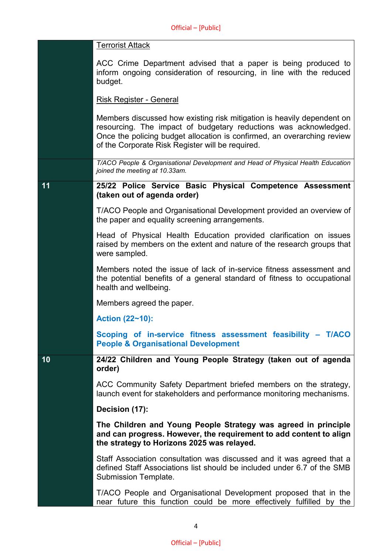|    | <b>Terrorist Attack</b>                                                                                                                                                                                                                                                   |
|----|---------------------------------------------------------------------------------------------------------------------------------------------------------------------------------------------------------------------------------------------------------------------------|
|    | ACC Crime Department advised that a paper is being produced to<br>inform ongoing consideration of resourcing, in line with the reduced<br>budget.                                                                                                                         |
|    | <b>Risk Register - General</b>                                                                                                                                                                                                                                            |
|    | Members discussed how existing risk mitigation is heavily dependent on<br>resourcing. The impact of budgetary reductions was acknowledged.<br>Once the policing budget allocation is confirmed, an overarching review<br>of the Corporate Risk Register will be required. |
|    | T/ACO People & Organisational Development and Head of Physical Health Education<br>joined the meeting at 10.33am.                                                                                                                                                         |
| 11 | 25/22 Police Service Basic Physical Competence Assessment<br>(taken out of agenda order)                                                                                                                                                                                  |
|    | T/ACO People and Organisational Development provided an overview of<br>the paper and equality screening arrangements.                                                                                                                                                     |
|    | Head of Physical Health Education provided clarification on issues<br>raised by members on the extent and nature of the research groups that<br>were sampled.                                                                                                             |
|    | Members noted the issue of lack of in-service fitness assessment and<br>the potential benefits of a general standard of fitness to occupational<br>health and wellbeing.                                                                                                  |
|    | Members agreed the paper.                                                                                                                                                                                                                                                 |
|    | Action (22~10):                                                                                                                                                                                                                                                           |
|    | Scoping of in-service fitness assessment feasibility - T/ACO<br><b>People &amp; Organisational Development</b>                                                                                                                                                            |
| 10 | 24/22 Children and Young People Strategy (taken out of agenda<br>order)                                                                                                                                                                                                   |
|    | ACC Community Safety Department briefed members on the strategy,<br>launch event for stakeholders and performance monitoring mechanisms.                                                                                                                                  |
|    | Decision (17):                                                                                                                                                                                                                                                            |
|    | The Children and Young People Strategy was agreed in principle<br>and can progress. However, the requirement to add content to align<br>the strategy to Horizons 2025 was relayed.                                                                                        |
|    | Staff Association consultation was discussed and it was agreed that a<br>defined Staff Associations list should be included under 6.7 of the SMB<br>Submission Template.                                                                                                  |
|    | T/ACO People and Organisational Development proposed that in the<br>near future this function could be more effectively fulfilled by the                                                                                                                                  |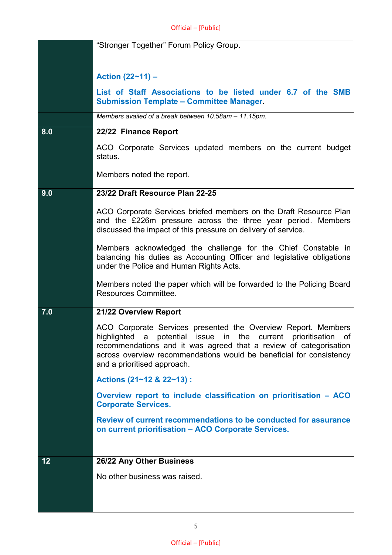|     | "Stronger Together" Forum Policy Group.                                                                                                                                                                                                                                                                       |
|-----|---------------------------------------------------------------------------------------------------------------------------------------------------------------------------------------------------------------------------------------------------------------------------------------------------------------|
|     |                                                                                                                                                                                                                                                                                                               |
|     | Action $(22 - 11)$ –                                                                                                                                                                                                                                                                                          |
|     | List of Staff Associations to be listed under 6.7 of the SMB<br><b>Submission Template - Committee Manager.</b>                                                                                                                                                                                               |
|     | Members availed of a break between 10.58am - 11.15pm.                                                                                                                                                                                                                                                         |
| 8.0 | 22/22 Finance Report                                                                                                                                                                                                                                                                                          |
|     | ACO Corporate Services updated members on the current budget<br>status.                                                                                                                                                                                                                                       |
|     | Members noted the report.                                                                                                                                                                                                                                                                                     |
| 9.0 | 23/22 Draft Resource Plan 22-25                                                                                                                                                                                                                                                                               |
|     | ACO Corporate Services briefed members on the Draft Resource Plan<br>and the £226m pressure across the three year period. Members<br>discussed the impact of this pressure on delivery of service.                                                                                                            |
|     | Members acknowledged the challenge for the Chief Constable in<br>balancing his duties as Accounting Officer and legislative obligations<br>under the Police and Human Rights Acts.                                                                                                                            |
|     | Members noted the paper which will be forwarded to the Policing Board<br>Resources Committee.                                                                                                                                                                                                                 |
| 7.0 | 21/22 Overview Report                                                                                                                                                                                                                                                                                         |
|     | ACO Corporate Services presented the Overview Report. Members<br>highlighted a potential issue in the current prioritisation<br>of<br>recommendations and it was agreed that a review of categorisation<br>across overview recommendations would be beneficial for consistency<br>and a prioritised approach. |
|     | Actions (21~12 & 22~13) :                                                                                                                                                                                                                                                                                     |
|     | Overview report to include classification on prioritisation - ACO<br><b>Corporate Services.</b>                                                                                                                                                                                                               |
|     | Review of current recommendations to be conducted for assurance<br>on current prioritisation - ACO Corporate Services.                                                                                                                                                                                        |
| 12  | 26/22 Any Other Business                                                                                                                                                                                                                                                                                      |
|     | No other business was raised.                                                                                                                                                                                                                                                                                 |
|     |                                                                                                                                                                                                                                                                                                               |